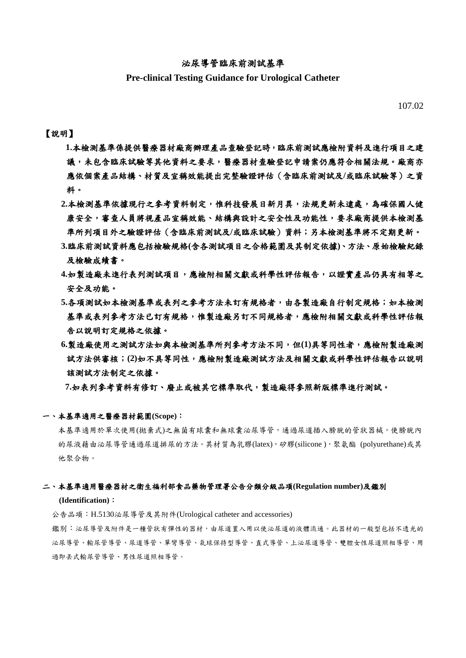### 泌尿導管臨床前測試基準

## **Pre-clinical Testing Guidance for Urological Catheter**

107.02

### 【說明】

- **1.**本檢測基準係提供醫療器材廠商辦理產品查驗登記時,臨床前測試應檢附資料及進行項目之建 議,未包含臨床試驗等其他資料之要求,醫療器材查驗登記申請案仍應符合相關法規。廠商亦 應依個案產品結構、材質及宣稱效能提出完整驗證評估(含臨床前測試及**/**或臨床試驗等)之資 料。
- 2.本檢測基準依據現行之參考資料制定,惟科技發展日新月異,法規更新未逮處,為確保國人健 康安全,審查人員將視產品宣稱效能、結構與設計之安全性及功能性,要求廠商提供本檢測基 準所列項目外之驗證評估(含臨床前測試及**/**或臨床試驗)資料;另本檢測基準將不定期更新。
- **3.**臨床前測試資料應包括檢驗規格**(**含各測試項目之合格範圍及其制定依據**)**、方法、原始檢驗紀錄 及檢驗成績書。
- **4.**如製造廠未進行表列測試項目,應檢附相關文獻或科學性評估報告,以證實產品仍具有相等之 安全及功能。
- 5.各項測試如本檢測基準或表列之參考方法未訂有規格者,由各製造廠自行制定規格;如本檢測 基準或表列參考方法已訂有規格,惟製造廠另訂不同規格者,應檢附相關文獻或科學性評估報 告以說明訂定規格之依據。
- **6.**製造廠使用之測試方法如與本檢測基準所列參考方法不同,但**(1)**具等同性者,應檢附製造廠測 試方法供審核;**(2)**如不具等同性,應檢附製造廠測試方法及相關文獻或科學性評估報告以說明 該測試方法制定之依據。

**7.**如表列參考資料有修訂、廢止或被其它標準取代,製造廠得參照新版標準進行測試。

#### 一、本基準適用之醫療器材範圍**(Scope)**:

本基準適用於單次使用(拋棄式)之無菌有球囊和無球囊泌尿導管,通過尿道插入膀胱的管狀器械,使膀胱內 的尿液藉由泌尿導管通過尿道排尿的方法。其材質為乳膠(latex),矽膠(silicone ),聚氨酯 (polyurethane)或其 他聚合物。

#### 二、本基準適用醫療器材之衛生福利部食品藥物管理署公告分類分級品項**(Regulation number)**及鑑別

#### **(Identification)**:

公告品項:H.5130泌尿導管及其附件(Urological catheter and accessories)

鑑別:泌尿導管及附件是一種管狀有彈性的器材,由尿道置入用以使泌尿道的液體流通。此器材的一般型包括不透光的 泌尿導管、輸尿管導管、尿道導管、單彎導管、氣球保持型導管、直式導管、上泌尿道導管、雙腔女性尿道照相導管、用 過即丟式輸尿管導管、男性尿道照相導管。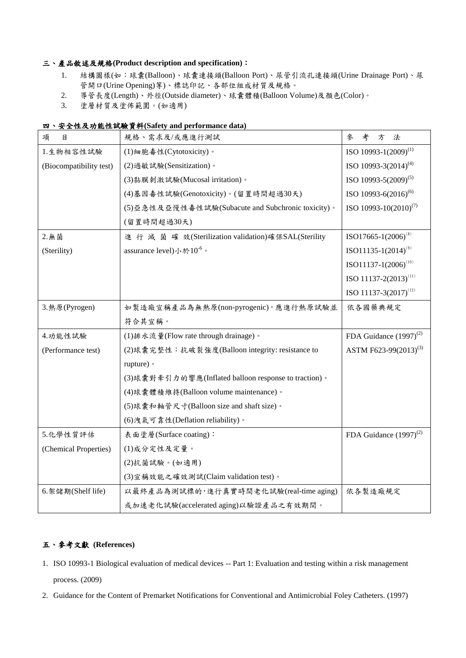## 三、產品敘述及規格**(Product description and specification)**:

- 1. 結構圖樣(如:球囊(Balloon)、球囊連接頭(Balloon Port)、尿管引流孔連接頭(Urine Drainage Port)、尿 管開口(Urine Opening)等)、標誌印記、各部位組成材質及規格。
- 2. 導管長度(Length)、外徑(Outside diameter)、球囊體積(Balloon Volume)及顏色(Color)。
- 3. 塗層材質及塗佈範圍。(如適用)

## 四、安全性及功能性試驗資料**(Safety and performance data)**

| 項<br>目                  | 規格、需求及/或應進行測試                                        | 參<br>考<br>法<br>方                  |
|-------------------------|------------------------------------------------------|-----------------------------------|
| 1.生物相容性試驗               | (1)細胞毒性(Cytotoxicity)。                               | ISO 10993-1(2009) <sup>(1)</sup>  |
| (Biocompatibility test) | (2) 過敏試驗(Sensitization)。                             | ISO 10993-3 $(2014)^{(4)}$        |
|                         | (3)黏膜刺激試驗(Mucosal irritation)。                       | ISO 10993-5(2009) <sup>(5)</sup>  |
|                         | (4)基因毒性試驗(Genotoxicity)。(留置時間超過30天)                  | ISO 10993-6(2016) <sup>(6)</sup>  |
|                         | (5)亞急性及亞慢性毒性試驗(Subacute and Subchronic toxicity)。    | ISO 10993-10 $(2010)^{(7)}$       |
|                         | (留置時間超過30天)                                          |                                   |
| 2. 無菌                   | 進行 滅 菌 確 效(Sterilization validation)確保SAL(Sterility  | $ISO17665-1(2006)^{(8)}$          |
| (Sterility)             | assurance level)小於 $10^{-6}$ 。                       | $ISO11135-1(2014)^{(9)}$          |
|                         |                                                      | $ISO11137-1(2006)^{(10)}$         |
|                         |                                                      | ISO 11137-2(2013) <sup>(11)</sup> |
|                         |                                                      | ISO 11137-3(2017) <sup>(12)</sup> |
| 3. 熱原(Pyrogen)          | 如製造廠宣稱產品為無熱原(non-pyrogenic),應進行熱原試驗並                 | 依各國藥典規定                           |
|                         | 符合其宣稱。                                               |                                   |
| 4.功能性試驗                 | (1) 排水流量(Flow rate through drainage)。                | FDA Guidance $(1997)^{(2)}$       |
| (Performance test)      | (2)球囊完整性:抗破裂強度(Balloon integrity: resistance to      | ASTM F623-99(2013) <sup>(3)</sup> |
|                         | rupture) •                                           |                                   |
|                         | (3)球囊對牽引力的響應(Inflated balloon response to traction)。 |                                   |
|                         | (4)球囊體積維持(Balloon volume maintenance)。               |                                   |
|                         | (5)球囊和軸管尺寸(Balloon size and shaft size)。             |                                   |
|                         | (6)洩氣可靠性(Deflation reliability)。                     |                                   |
| 5.化學性質評估                | 表面塗層(Surface coating):                               | FDA Guidance $(1997)^{(2)}$       |
| (Chemical Properties)   | (1)成分定性及定量。                                          |                                   |
|                         | (2)抗菌試驗。(如適用)                                        |                                   |
|                         | (3)宣稱效能之確效測試(Claim validation test)。                 |                                   |
| 6. 架 儲 期(Shelf life)    | 以最終產品為測試標的,進行真實時間老化試驗(real-time aging)               | 依各製造廠規定                           |
|                         | 或加速老化試驗(accelerated aging)以驗證產品之有效期間。                |                                   |

# 五、參考文獻 **(References)**

- 1. ISO 10993-1 Biological evaluation of medical devices -- Part 1: Evaluation and testing within a risk management process. (2009)
- 2. Guidance for the Content of Premarket Notifications for Conventional and Antimicrobial Foley Catheters. (1997)